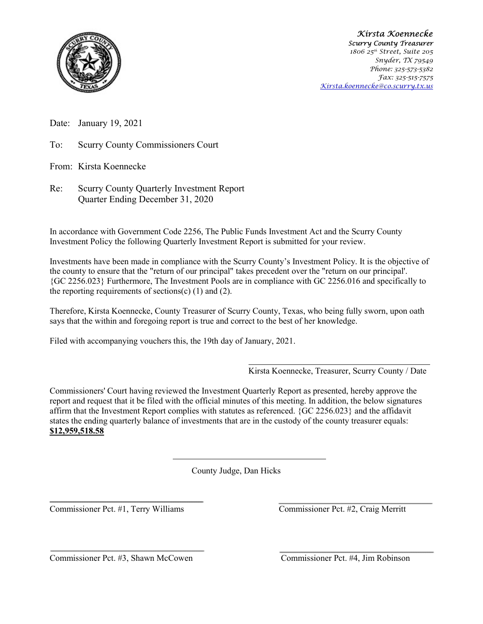

 Kirsta Koennecke Scurry County Treasurer 1806 25<sup>th</sup> Street, Suite 205 Snyder, TX 79549 Phone: 325-573-5382 Fax: 325-515-7575 Kirsta.koennecke@co.scurry.tx.us

Date: January 19, 2021

To: Scurry County Commissioners Court

From: Kirsta Koennecke

Re: Scurry County Quarterly Investment Report Quarter Ending December 31, 2020

In accordance with Government Code 2256, The Public Funds Investment Act and the Scurry County Investment Policy the following Quarterly Investment Report is submitted for your review.

Investments have been made in compliance with the Scurry County's Investment Policy. It is the objective of the county to ensure that the "return of our principal" takes precedent over the "return on our principal'. {GC 2256.023} Furthermore, The Investment Pools are in compliance with GC 2256.016 and specifically to the reporting requirements of sections(c)  $(1)$  and  $(2)$ .

Therefore, Kirsta Koennecke, County Treasurer of Scurry County, Texas, who being fully sworn, upon oath says that the within and foregoing report is true and correct to the best of her knowledge.

Filed with accompanying vouchers this, the 19th day of January, 2021.

Kirsta Koennecke, Treasurer, Scurry County / Date

Commissioners' Court having reviewed the Investment Quarterly Report as presented, hereby approve the report and request that it be filed with the official minutes of this meeting. In addition, the below signatures affirm that the Investment Report complies with statutes as referenced. {GC 2256.023} and the affidavit states the ending quarterly balance of investments that are in the custody of the county treasurer equals: \$12,959,518.58

County Judge, Dan Hicks

Commissioner Pct. #1, Terry Williams Commissioner Pct. #2, Craig Merritt

Commissioner Pct. #3, Shawn McCowen Commissioner Pct. #4, Jim Robinson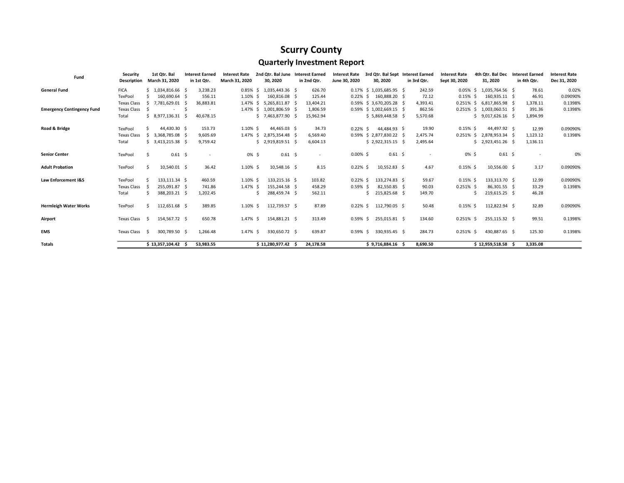## Scurry County

## Quarterly Investment Report

| Fund                              | Security           |     | 1st Qtr. Bal       |     | <b>Interest Earned</b> | <b>Interest Rate</b> | 2nd Otr. Bal June        | <b>Interest Earned</b>   | <b>Interest Rate</b> |    | 3rd Otr. Bal Sept Interest Earned |             | <b>Interest Rate</b> | 4th Otr. Bal Dec          |           | <b>Interest Earned</b> | <b>Interest Rate</b> |
|-----------------------------------|--------------------|-----|--------------------|-----|------------------------|----------------------|--------------------------|--------------------------|----------------------|----|-----------------------------------|-------------|----------------------|---------------------------|-----------|------------------------|----------------------|
|                                   | <b>Description</b> |     | March 31, 2020     |     | in 1st Qtr.            | March 31, 2020       | 30, 2020                 | in 2nd Qtr.              | June 30, 2020        |    | 30, 2020                          | in 3rd Qtr. | Sept 30, 2020        | 31, 2020                  |           | in 4th Qtr.            | Dec 31, 2020         |
| <b>General Fund</b>               | <b>FICA</b>        |     | $$1,034,816.66$ \$ |     | 3,238.23               |                      | 0.85% \$ 1,035,443.36 \$ | 626.70                   |                      |    | 0.17% \$ 1,035,685.95 \$          | 242.59      |                      | 0.05% \$ 1,035,764.56 \$  |           | 78.61                  | 0.02%                |
|                                   | TexPool            |     | 160,690.64 \$      |     | 556.11                 | 1.10% \$             | 160,816.08 \$            | 125.44                   | $0.22\%$ \$          |    | 160,888.20 \$                     | 72.12       | $0.15\%$ \$          | 160,935.11 \$             |           | 46.91                  | 0.09090%             |
|                                   | <b>Texas Class</b> | S   | 7,781,629.01       | - S | 36,883.81              | 1.47% \$             | 5,265,811.87 \$          | 13,404.21                |                      |    | 0.59% \$ 3,670,205.28 \$          | 4,393.41    | $0.251\%$ \$         | 6,817,865.98 \$           |           | 1,378.11               | 0.1398%              |
| <b>Emergency Contingency Fund</b> | <b>Texas Class</b> |     |                    |     | $\sim$                 | 1.47% \$             | 1,001,806.59 \$          | 1,806.59                 |                      |    | 0.59% \$ 1,002,669.15 \$          | 862.56      |                      | 0.251% \$ 1,003,060.51 \$ |           | 391.36                 | 0.1398%              |
|                                   | Total              |     | $$8,977,136.31$ \$ |     | 40,678.15              |                      | $$7,463,877.90$ \$       | 15,962.94                |                      |    | $$5,869,448.58$ \$                | 5,570.68    |                      | $$9,017,626.16$ \$        |           | 1,894.99               |                      |
| Road & Bridge                     | TexPool            |     | 44,430.30 \$       |     | 153.73                 | $1.10\%$ \$          | 44,465.03 \$             | 34.73                    | $0.22\%$ \$          |    | 44,484.93 \$                      | 19.90       | $0.15\%$ \$          | 44.497.92 \$              |           | 12.99                  | 0.09090%             |
|                                   | <b>Texas Class</b> | S.  | 3,368,785.08 \$    |     | 9,605.69               |                      | 1.47% \$ 2,875,354.48 \$ | 6,569.40                 |                      |    | 0.59% \$ 2,877,830.22 \$          | 2,475.74    |                      | 0.251% \$ 2,878,953.34 \$ |           | 1,123.12               | 0.1398%              |
|                                   | Total              |     | \$3,413,215.38     |     | 9,759.42               |                      | $$2,919,819.51$ \$       | 6,604.13                 |                      |    | $$2,922,315.15$ \$                | 2,495.64    |                      | \$2,923,451.26            |           | 1,136.11               |                      |
| <b>Senior Center</b>              | TexPool            | Ś   | $0.61 \quad $$     |     | $\sim$                 | 0% \$                | $0.61 \quad $$           | $\overline{\phantom{a}}$ | $0.00\%$ \$          |    | $0.61 \quad $$                    |             | $0\%$ \$             |                           | $0.61$ \$ |                        | 0%                   |
| <b>Adult Probation</b>            | TexPool            |     | 10,540.01 \$       |     | 36.42                  | $1.10\%$ \$          | 10,548.16 \$             | 8.15                     | $0.22\%$ \$          |    | 10,552.83 \$                      | 4.67        | $0.15\%$ \$          | 10,556.00 \$              |           | 3.17                   | 0.09090%             |
| Law Enforcement I&S               | TexPool            |     | 133,111.34 \$      |     | 460.59                 | 1.10% \$             | 133,215.16 \$            | 103.82                   | $0.22\%$ \$          |    | 133.274.83 \$                     | 59.67       | $0.15\%$ \$          | 133,313.70 \$             |           | 12.99                  | 0.09090%             |
|                                   | Texas Class        |     | 255,091.87 \$      |     | 741.86                 | 1.47% \$             | 155,244.58 \$            | 458.29                   | $0.59%$ \$           |    | 82,550.85 \$                      | 90.03       | $0.251\%$ \$         | 86,301.55 \$              |           | 33.29                  | 0.1398%              |
|                                   | Total              | Ś.  | 388,203.21 \$      |     | 1,202.45               |                      | 288,459.74 \$            | 562.11                   |                      | Ś. | 215,825.68 \$                     | 149.70      |                      | 219,615.25 \$             |           | 46.28                  |                      |
| <b>Hermleigh Water Works</b>      | TexPool            | S.  | 112,651.68 \$      |     | 389.85                 | $1.10\%$ \$          | 112,739.57 \$            | 87.89                    | $0.22\%$ \$          |    | 112,790.05 \$                     | 50.48       | $0.15\%$ \$          | 112,822.94 \$             |           | 32.89                  | 0.09090%             |
| Airport                           | Texas Class        | - S | 154,567.72 \$      |     | 650.78                 | 1.47% \$             | 154,881.21 \$            | 313.49                   | $0.59%$ \$           |    | 255,015.81 \$                     | 134.60      | $0.251\%$ \$         | 255,115.32 \$             |           | 99.51                  | 0.1398%              |
| <b>EMS</b>                        | Texas Class        | - S | 300,789.50 \$      |     | 1,266.48               | 1.47% \$             | 330,650.72 \$            | 639.87                   | $0.59%$ \$           |    | 330,935.45 \$                     | 284.73      | $0.251\%$ \$         | 430,887.65 \$             |           | 125.30                 | 0.1398%              |
| <b>Totals</b>                     |                    |     | \$13,357,104.42    |     | 53,983.55              |                      | $$11,280,977.42$ \$      | 24,178.58                |                      |    | $$9,716,884.16$ \$                | 8,690.50    |                      | $$12,959,518.58$ \$       |           | 3,335.08               |                      |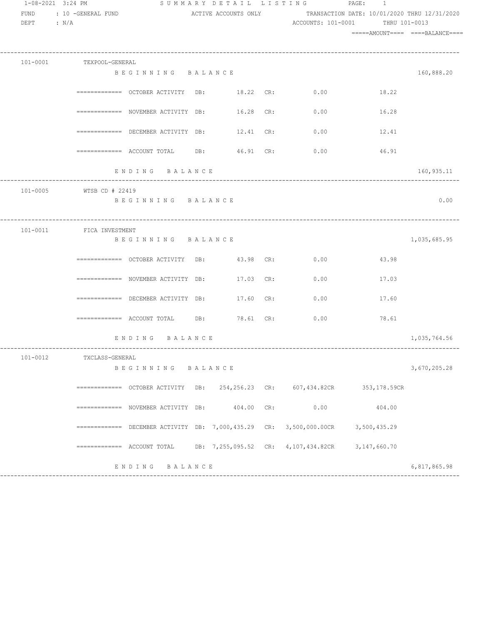| 1-08-2021 3:24 PM<br>FUND<br>DEPT : $N/A$ | : 10 -GENERAL FUND       |                                                                                                                                                                |  | SUMMARY DETAIL LISTING PAGE: 1<br>ACTIVE ACCOUNTS ONLY TRANSACTION DATE: 10/01/2020 THRU 12/31/2020<br>ACCOUNTS: 101-0001 | THRU 101-0013 |                                 |
|-------------------------------------------|--------------------------|----------------------------------------------------------------------------------------------------------------------------------------------------------------|--|---------------------------------------------------------------------------------------------------------------------------|---------------|---------------------------------|
|                                           |                          |                                                                                                                                                                |  |                                                                                                                           |               | =====AMOUNT==== ====BALANCE==== |
|                                           | 101-0001 TEXPOOL-GENERAL |                                                                                                                                                                |  |                                                                                                                           |               |                                 |
|                                           |                          | BEGINNING BALANCE                                                                                                                                              |  |                                                                                                                           |               | 160,888.20                      |
|                                           |                          | ============ OCTOBER ACTIVITY DB: 18.22 CR: 0.00                                                                                                               |  |                                                                                                                           | 18.22         |                                 |
|                                           |                          |                                                                                                                                                                |  | ============ NOVEMBER ACTIVITY DB:        16.28 CR:         0.00                                                          | 16.28         |                                 |
|                                           |                          |                                                                                                                                                                |  | ============ DECEMBER ACTIVITY DB: $12.41$ CR: $0.00$                                                                     | 12.41         |                                 |
|                                           |                          | ============= ACCOUNT TOTAL DB: 46.91 CR:                                                                                                                      |  | 0.00                                                                                                                      | 46.91         |                                 |
|                                           |                          | ENDING BALANCE                                                                                                                                                 |  |                                                                                                                           |               | 160,935.11                      |
|                                           | 101-0005 WTSB CD # 22419 |                                                                                                                                                                |  |                                                                                                                           |               |                                 |
|                                           |                          | BEGINNING BALANCE                                                                                                                                              |  |                                                                                                                           |               | 0.00                            |
|                                           | 101-0011 FICA INVESTMENT |                                                                                                                                                                |  |                                                                                                                           |               |                                 |
|                                           |                          | BEGINNING BALANCE                                                                                                                                              |  |                                                                                                                           |               | 1,035,685.95                    |
|                                           |                          | ============ OCTOBER ACTIVITY DB: 43.98 CR: 0.00                                                                                                               |  |                                                                                                                           | 43.98         |                                 |
|                                           |                          | ============ NOVEMBER ACTIVITY DB: 17.03 CR: 0.00                                                                                                              |  |                                                                                                                           | 17.03         |                                 |
|                                           |                          | $\texttt{-----}$ =========== DECEMBER ACTIVITY DB: $17.60$ CR:                                                                                                 |  | 0.00                                                                                                                      | 17.60         |                                 |
|                                           |                          | $\begin{tabular}{lcccccc} \texttt{-----} \texttt{-----} & \texttt{ACCOUNT TOTAL} & \texttt{DB:} & \texttt{78.61} & \texttt{CR:} & \texttt{0.00} \end{tabular}$ |  |                                                                                                                           | 78.61         |                                 |
|                                           |                          | ENDING BALANCE                                                                                                                                                 |  |                                                                                                                           |               | 1,035,764.56                    |
| 101-0012                                  | TXCLASS-GENERAL          |                                                                                                                                                                |  |                                                                                                                           |               |                                 |
|                                           |                          | BEGINNING BALANCE                                                                                                                                              |  |                                                                                                                           |               | 3,670,205.28                    |
|                                           |                          |                                                                                                                                                                |  | ============= OCTOBER ACTIVITY DB: 254,256.23 CR: 607,434.82CR 353,178.59CR                                               |               |                                 |
|                                           |                          | ============= NOVEMBER ACTIVITY DB: 404.00 CR:                                                                                                                 |  | 0.00                                                                                                                      | 404.00        |                                 |
|                                           |                          |                                                                                                                                                                |  | ============= DECEMBER ACTIVITY DB: 7,000,435.29 CR: 3,500,000.00CR 3,500,435.29                                          |               |                                 |
|                                           |                          |                                                                                                                                                                |  | $\overline{0}$ ============ ACCOUNT TOTAL DB: 7,255,095.52 CR: 4,107,434.82CR 3,147,660.70                                |               |                                 |
|                                           |                          | ENDING BALANCE                                                                                                                                                 |  |                                                                                                                           |               | 6,817,865.98                    |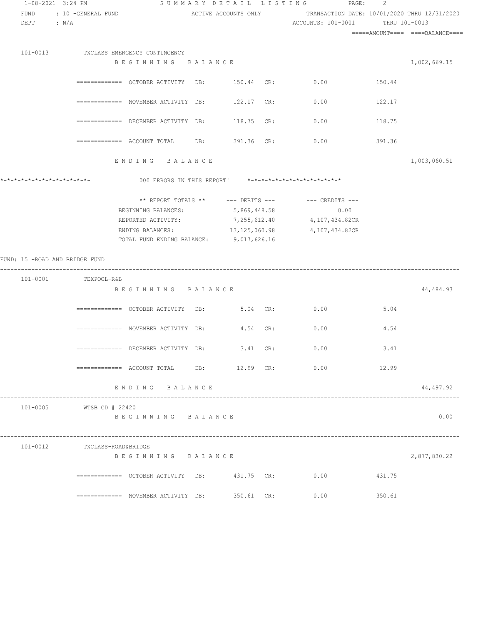| 1-08-2021 3:24 PM              |                                                   |                                         |                 | SUMMARY DETAIL LISTING<br>PAGE: 2                                                       |               |              |
|--------------------------------|---------------------------------------------------|-----------------------------------------|-----------------|-----------------------------------------------------------------------------------------|---------------|--------------|
| FUND<br>DEPT : N/A             | : 10 -GENERAL FUND                                |                                         |                 | ACTIVE ACCOUNTS ONLY TRANSACTION DATE: 10/01/2020 THRU 12/31/2020<br>ACCOUNTS: 101-0001 | THRU 101-0013 |              |
|                                |                                                   |                                         |                 |                                                                                         |               |              |
|                                | 101-0013 TXCLASS EMERGENCY CONTINGENCY            |                                         |                 |                                                                                         |               |              |
|                                |                                                   | BEGINNING BALANCE                       |                 |                                                                                         |               | 1,002,669.15 |
|                                |                                                   |                                         |                 |                                                                                         |               |              |
|                                | ============ OCTOBER ACTIVITY DB: 150.44 CR: 0.00 |                                         |                 |                                                                                         | 150.44        |              |
|                                | ============ NOVEMBER ACTIVITY DB:                |                                         | 122.17 CR:      | 0.00                                                                                    | 122.17        |              |
|                                | ============ DECEMBER ACTIVITY DB:                |                                         | 118.75 CR:      | 0.00                                                                                    | 118.75        |              |
|                                |                                                   |                                         | 391.36 CR:      | 0.00                                                                                    | 391.36        |              |
|                                |                                                   | ENDING BALANCE                          |                 |                                                                                         |               | 1,003,060.51 |
|                                |                                                   |                                         |                 | 000 ERRORS IN THIS REPORT! *-*-*-*-*-*-*-*-*-*-*-*-*-*-                                 |               |              |
|                                |                                                   |                                         |                 | ** REPORT TOTALS ** --- DEBITS --- -- -- CREDITS ---                                    |               |              |
|                                |                                                   | BEGINNING BALANCES:                     | 5,869,448.58    | 0.00                                                                                    |               |              |
|                                |                                                   | REPORTED ACTIVITY:                      | 7, 255, 612.40  | 4,107,434.82CR                                                                          |               |              |
|                                |                                                   | ENDING BALANCES:                        | 13, 125, 060.98 | 4,107,434.82CR                                                                          |               |              |
|                                |                                                   | TOTAL FUND ENDING BALANCE: 9,017,626.16 |                 |                                                                                         |               |              |
| FUND: 15 -ROAD AND BRIDGE FUND |                                                   |                                         |                 |                                                                                         |               |              |
|                                | 101-0001 TEXPOOL-R&B                              |                                         |                 |                                                                                         |               |              |
|                                |                                                   | BEGINNING BALANCE                       |                 |                                                                                         |               | 44,484.93    |
|                                | ============ OCTOBER ACTIVITY DB: 5.04 CR: 0.00   |                                         |                 |                                                                                         | 5.04          |              |
|                                |                                                   |                                         |                 |                                                                                         |               |              |
|                                | ============= NOVEMBER ACTIVITY DB:               |                                         | 4.54 CR:        | 0.00                                                                                    | 4.54          |              |
|                                | ============ DECEMBER ACTIVITY DB:                |                                         | 3.41 CR:        | 0.00                                                                                    | 3.41          |              |
|                                |                                                   |                                         |                 | ============= ACCOUNT TOTAL DB: 12.99 CR: 0.00 12.99                                    |               |              |
|                                |                                                   | ENDING BALANCE                          |                 |                                                                                         |               | 44,497.92    |
|                                | 101-0005 WTSB CD # 22420                          |                                         |                 |                                                                                         |               |              |
|                                |                                                   | BEGINNING BALANCE                       |                 |                                                                                         |               | 0.00         |
|                                | 101-0012 TXCLASS-ROAD&BRIDGE                      |                                         |                 |                                                                                         |               |              |
|                                |                                                   | BEGINNING BALANCE                       |                 |                                                                                         |               | 2,877,830.22 |
|                                | ============= OCTOBER ACTIVITY DB: 431.75 CR:     |                                         |                 | 0.00                                                                                    | 431.75        |              |
|                                | ============ NOVEMBER ACTIVITY DB:                |                                         | 350.61 CR:      | 0.00                                                                                    | 350.61        |              |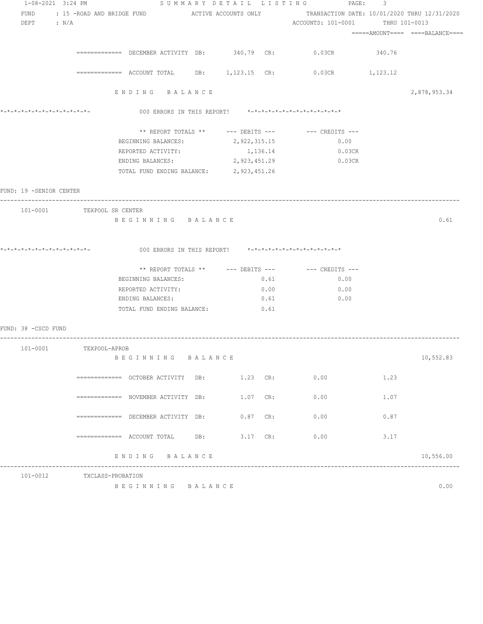| 1-08-2021 3:24 PM            |                            |                                                |              |      | SUMMARY DETAIL LISTING PAGE: 3                                                                                                 |        |                                  |
|------------------------------|----------------------------|------------------------------------------------|--------------|------|--------------------------------------------------------------------------------------------------------------------------------|--------|----------------------------------|
| FUND                         |                            |                                                |              |      | : 15 -ROAD AND BRIDGE FUND                  ACTIVE ACCOUNTS ONLY                  TRANSACTION DATE: 10/01/2020 THRU 12/31/2020 |        |                                  |
| DEPT : $N/A$                 |                            |                                                |              |      | ACCOUNTS: 101-0001 THRU 101-0013                                                                                               |        |                                  |
|                              |                            |                                                |              |      |                                                                                                                                |        | =====AMOUNT====  ====BALANCE==== |
|                              |                            |                                                |              |      |                                                                                                                                |        |                                  |
|                              |                            | ============= DECEMBER ACTIVITY DB: 340.79 CR: |              |      | $0.03$ CR                                                                                                                      | 340.76 |                                  |
|                              |                            |                                                |              |      | $\overline{\phantom{0}}$ ============ ACCOUNT TOTAL DB: 1,123.15 CR: 0.03CR 1,123.12                                           |        |                                  |
|                              |                            |                                                |              |      |                                                                                                                                |        |                                  |
|                              |                            | ENDING BALANCE                                 |              |      |                                                                                                                                |        | 2,878,953.34                     |
| *_*_*_*_*_*_*_*_*_*_*_*_*_*_ |                            |                                                |              |      | 000 ERRORS IN THIS REPORT! *-*-*-*-*-*-*-*-*-*-*-*-*-*-                                                                        |        |                                  |
|                              |                            |                                                |              |      | ** REPORT TOTALS ** --- DEBITS --- -- CREDITS ---                                                                              |        |                                  |
|                              |                            | BEGINNING BALANCES: 2, 922, 315.15             |              |      | 0.00                                                                                                                           |        |                                  |
|                              |                            | REPORTED ACTIVITY:                             | 1,136.14     |      | 0.03CR                                                                                                                         |        |                                  |
|                              |                            | ENDING BALANCES:                               | 2,923,451.29 |      | $0.03$ CR                                                                                                                      |        |                                  |
|                              |                            | TOTAL FUND ENDING BALANCE: 2, 923, 451.26      |              |      |                                                                                                                                |        |                                  |
|                              |                            |                                                |              |      |                                                                                                                                |        |                                  |
| FUND: 19 -SENIOR CENTER      |                            |                                                |              |      |                                                                                                                                |        |                                  |
|                              | 101-0001 TEXPOOL SR CENTER |                                                |              |      |                                                                                                                                |        |                                  |
|                              |                            | BEGINNING BALANCE                              |              |      |                                                                                                                                |        | 0.61                             |
|                              |                            |                                                |              |      |                                                                                                                                |        |                                  |
|                              |                            |                                                |              |      |                                                                                                                                |        |                                  |
|                              |                            |                                                |              |      | 000 ERRORS IN THIS REPORT! *-*-*-*-*-*-*-*-*-*-*-*-*-*-                                                                        |        |                                  |
|                              |                            |                                                |              |      | ** REPORT TOTALS ** --- DEBITS --- -- -- CREDITS ---                                                                           |        |                                  |
|                              |                            | BEGINNING BALANCES:                            |              | 0.61 | 0.00                                                                                                                           |        |                                  |
|                              |                            |                                                |              |      |                                                                                                                                |        |                                  |
|                              |                            | REPORTED ACTIVITY:                             |              | 0.00 | 0.00                                                                                                                           |        |                                  |
|                              |                            | ENDING BALANCES:                               |              | 0.61 | 0.00                                                                                                                           |        |                                  |
|                              |                            | TOTAL FUND ENDING BALANCE:                     |              | 0.61 |                                                                                                                                |        |                                  |
| FUND: 38 -CSCD FUND          |                            |                                                |              |      |                                                                                                                                |        |                                  |
| 101-0001                     | TEXPOOL-APROB              |                                                |              |      |                                                                                                                                |        |                                  |
|                              |                            | BEGINNING BALANCE                              |              |      |                                                                                                                                |        | 10,552.83                        |
|                              |                            | ============ OCTOBER ACTIVITY DB: 1.23 CR:     |              |      | 0.00                                                                                                                           | 1.23   |                                  |
|                              |                            | ============ NOVEMBER ACTIVITY DB:             | 1.07 CR:     |      |                                                                                                                                | 1.07   |                                  |
|                              |                            |                                                |              |      | 0.00                                                                                                                           |        |                                  |
|                              |                            | ============ DECEMBER ACTIVITY DB:             | $0.87$ CR:   |      | 0.00                                                                                                                           | 0.87   |                                  |
|                              |                            | ============= ACCOUNT TOTAL DB: 3.17 CR:       |              |      | 0.00                                                                                                                           | 3.17   |                                  |
|                              |                            | ENDING BALANCE                                 |              |      |                                                                                                                                |        | 10,556.00                        |
|                              |                            |                                                |              |      |                                                                                                                                |        |                                  |
|                              | 101-0012 TXCLASS-PROBATION |                                                |              |      |                                                                                                                                |        |                                  |
|                              |                            | BEGINNING BALANCE                              |              |      |                                                                                                                                |        | 0.00                             |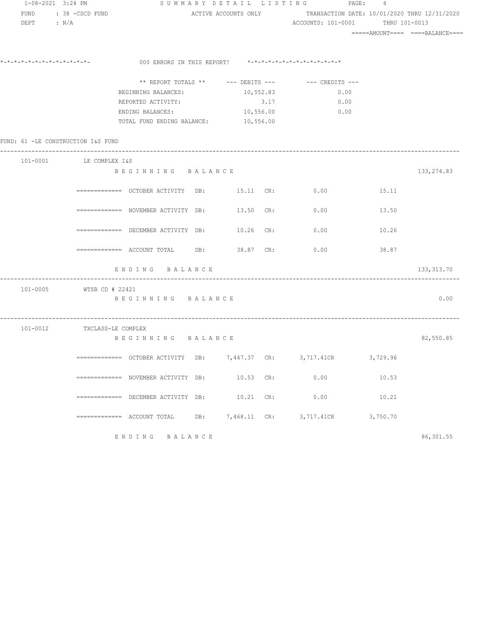| 1-08-2021 3:24 PM                  |                             |                                                         |                |      | SUMMARY DETAIL LISTING PAGE: 4                                    |          |                                 |
|------------------------------------|-----------------------------|---------------------------------------------------------|----------------|------|-------------------------------------------------------------------|----------|---------------------------------|
| FUND                               | : 38 -CSCD FUND             |                                                         |                |      | ACTIVE ACCOUNTS ONLY TRANSACTION DATE: 10/01/2020 THRU 12/31/2020 |          |                                 |
| $DEF$ : $N/A$                      |                             |                                                         |                |      | ACCOUNTS: 101-0001 THRU 101-0013                                  |          |                                 |
|                                    |                             |                                                         |                |      |                                                                   |          | =====AMOUNT==== ====BALANCE==== |
|                                    |                             |                                                         |                |      |                                                                   |          |                                 |
|                                    |                             | 000 ERRORS IN THIS REPORT! *-*-*-*-*-*-*-*-*-*-*-*-*-*- |                |      |                                                                   |          |                                 |
|                                    |                             |                                                         |                |      | ** REPORT TOTALS ** $---$ DEBITS --- $---$ CREDITS ---            |          |                                 |
|                                    |                             | BEGINNING BALANCES:                                     | 10,552.83      |      | 0.00                                                              |          |                                 |
|                                    |                             | REPORTED ACTIVITY:                                      |                | 3.17 | 0.00                                                              |          |                                 |
|                                    |                             | ENDING BALANCES: 10,556.00                              |                |      | 0.00                                                              |          |                                 |
|                                    |                             | TOTAL FUND ENDING BALANCE: 10,556.00                    |                |      |                                                                   |          |                                 |
|                                    |                             |                                                         |                |      |                                                                   |          |                                 |
| FUND: 61 -LE CONSTRUCTION I&S FUND |                             |                                                         |                |      |                                                                   |          |                                 |
|                                    | 101-0001 LE COMPLEX I&S     |                                                         |                |      |                                                                   |          |                                 |
|                                    |                             | BEGINNING BALANCE                                       |                |      |                                                                   |          | 133, 274.83                     |
|                                    |                             |                                                         |                |      |                                                                   |          |                                 |
|                                    |                             | ============ OCTOBER ACTIVITY DB: 15.11 CR: 0.00        |                |      |                                                                   | 15.11    |                                 |
|                                    |                             | ============ NOVEMBER ACTIVITY DB: 13.50 CR: 0.00       |                |      |                                                                   | 13.50    |                                 |
|                                    |                             |                                                         |                |      |                                                                   |          |                                 |
|                                    |                             | ============= DECEMBER ACTIVITY DB: $10.26$ CR: 0.00    |                |      |                                                                   | 10.26    |                                 |
|                                    |                             |                                                         |                |      |                                                                   |          |                                 |
|                                    |                             | ============= ACCOUNT TOTAL DB: 38.87 CR: 0.00          |                |      |                                                                   | 38.87    |                                 |
|                                    |                             | ENDING BALANCE                                          |                |      |                                                                   |          | 133, 313.70                     |
|                                    |                             |                                                         |                |      |                                                                   |          |                                 |
|                                    | 101-0005 WTSB CD # 22421    |                                                         |                |      |                                                                   |          |                                 |
|                                    |                             | BEGINNING BALANCE                                       |                |      |                                                                   |          | 0.00                            |
|                                    |                             |                                                         |                |      |                                                                   |          |                                 |
|                                    | 101-0012 TXCLASS-LE COMPLEX |                                                         |                |      |                                                                   |          |                                 |
|                                    |                             | BEGINNING BALANCE                                       |                |      |                                                                   |          | 82,550.85                       |
|                                    |                             | DB:                                                     | 7,447.37       |      | 3,717.41CR                                                        | 3,729.96 |                                 |
|                                    |                             |                                                         |                | CR:  |                                                                   |          |                                 |
|                                    |                             | ============= NOVEMBER ACTIVITY DB:                     | 10.53          | CR:  | 0.00                                                              | 10.53    |                                 |
|                                    |                             |                                                         |                |      |                                                                   |          |                                 |
|                                    |                             | ============ DECEMBER ACTIVITY DB:                      | 10.21          | CR:  | 0.00                                                              | 10.21    |                                 |
|                                    |                             | $=$ ============ ACCOUNT TOTAL<br>DB:                   | $7,468.11$ CR: |      | 3,717.41CR                                                        | 3,750.70 |                                 |
|                                    |                             |                                                         |                |      |                                                                   |          |                                 |
|                                    |                             | ENDING BALANCE                                          |                |      |                                                                   |          | 86,301.55                       |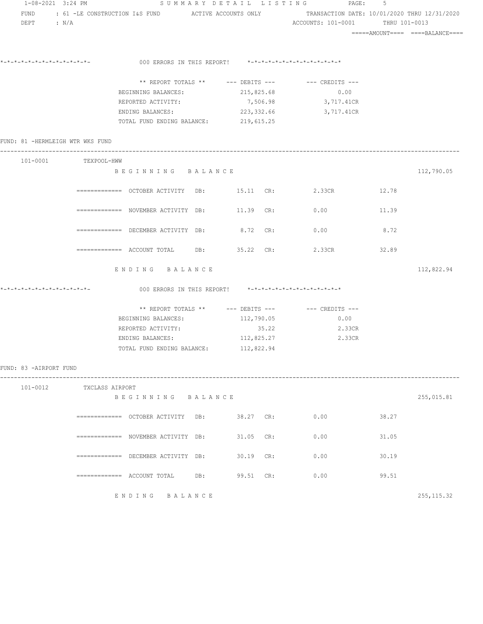|                        | 1-08-2021 3:24 PM                |                                                                                                       |     |             | SUMMARY DETAIL LISTING PAGE:                            | 5     |             |
|------------------------|----------------------------------|-------------------------------------------------------------------------------------------------------|-----|-------------|---------------------------------------------------------|-------|-------------|
|                        |                                  | FUND : 61 -LE CONSTRUCTION I&S FUND ACTIVE ACCOUNTS ONLY TRANSACTION DATE: 10/01/2020 THRU 12/31/2020 |     |             |                                                         |       |             |
| $DEF$ : $N/A$          |                                  |                                                                                                       |     |             | ACCOUNTS: 101-0001 THRU 101-0013                        |       |             |
|                        |                                  |                                                                                                       |     |             |                                                         |       |             |
|                        |                                  |                                                                                                       |     |             |                                                         |       |             |
|                        |                                  | 000 ERRORS IN THIS REPORT! *-*-*-*-*-*-*-*-*-*-*-*-*-*-                                               |     |             |                                                         |       |             |
|                        |                                  |                                                                                                       |     |             | ** REPORT TOTALS ** --- DEBITS --- -- CREDITS ---       |       |             |
|                        |                                  | BEGINNING BALANCES: 215,825.68                                                                        |     |             | 0.00                                                    |       |             |
|                        |                                  | REPORTED ACTIVITY:                                                                                    |     |             | 7,506.98 3,717.41CR                                     |       |             |
|                        |                                  | ENDING BALANCES:                                                                                      |     | 223, 332.66 | 3,717.41CR                                              |       |             |
|                        |                                  | TOTAL FUND ENDING BALANCE: 219,615.25                                                                 |     |             |                                                         |       |             |
|                        | FUND: 81 -HERMLEIGH WTR WKS FUND |                                                                                                       |     |             |                                                         |       |             |
|                        | 101-0001 TEXPOOL-HWW             |                                                                                                       |     |             |                                                         |       |             |
|                        |                                  | BEGINNING BALANCE                                                                                     |     |             |                                                         |       | 112,790.05  |
|                        |                                  | ============ OCTOBER ACTIVITY DB: 15.11 CR: 2.33CR 12.78                                              |     |             |                                                         |       |             |
|                        |                                  | ============ NOVEMBER ACTIVITY DB: 11.39 CR: 0.00                                                     |     |             |                                                         | 11.39 |             |
|                        |                                  | $\overline{\phantom{X}}$ ============ DECEMBER ACTIVITY DB: 8.72 CR:                                  |     |             | 0.00                                                    | 8.72  |             |
|                        |                                  | $\overline{\phantom{1}}$ ============= ACCOUNT TOTAL DB: 35.22 CR:                                    |     |             | 2.33CR                                                  | 32.89 |             |
|                        |                                  | ENDING BALANCE                                                                                        |     |             |                                                         |       | 112,822.94  |
|                        |                                  |                                                                                                       |     |             | 000 ERRORS IN THIS REPORT! *-*-*-*-*-*-*-*-*-*-*-*-*-*- |       |             |
|                        |                                  |                                                                                                       |     |             | ** REPORT TOTALS ** --- DEBITS --- -- CREDITS ---       |       |             |
|                        |                                  | BEGINNING BALANCES: 112,790.05                                                                        |     |             | 0.00                                                    |       |             |
|                        |                                  | REPORTED ACTIVITY:                                                                                    |     | 35.22       | 2.33CR                                                  |       |             |
|                        |                                  | ENDING BALANCES: 112,825.27                                                                           |     |             | 2.33CR                                                  |       |             |
|                        |                                  | TOTAL FUND ENDING BALANCE: 112,822.94                                                                 |     |             |                                                         |       |             |
| FUND: 83 -AIRPORT FUND |                                  |                                                                                                       |     |             |                                                         |       |             |
| 101-0012               |                                  | TXCLASS AIRPORT                                                                                       |     |             |                                                         |       |             |
|                        |                                  | BEGINNING BALANCE                                                                                     |     |             |                                                         |       | 255,015.81  |
|                        |                                  |                                                                                                       |     | 38.27 CR:   | 0.00                                                    | 38.27 |             |
|                        |                                  | ============= NOVEMBER ACTIVITY DB:                                                                   |     | $31.05$ CR: | 0.00                                                    | 31.05 |             |
|                        |                                  | ============ DECEMBER ACTIVITY DB:                                                                    |     | 30.19 CR:   | 0.00                                                    | 30.19 |             |
|                        |                                  | =============    ACCOUNT  TOTAL                                                                       | DB: | 99.51 CR:   | 0.00                                                    | 99.51 |             |
|                        |                                  | ENDING BALANCE                                                                                        |     |             |                                                         |       | 255, 115.32 |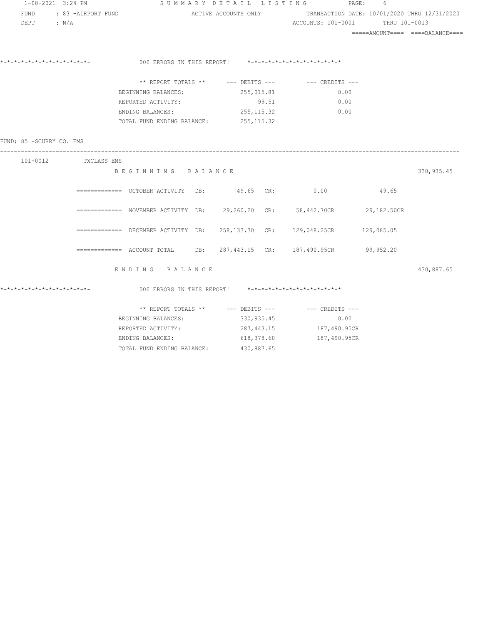| 1-08-2021 3:24 PM         |                      |                                                                           | SUMMARY DETAIL LISTING                                            |                                  | $\texttt{PAGE}$ :<br>6 |                                  |
|---------------------------|----------------------|---------------------------------------------------------------------------|-------------------------------------------------------------------|----------------------------------|------------------------|----------------------------------|
| FUND<br>$DEPT$ : $N/A$    | : 83 -AIRPORT FUND   |                                                                           | ACTIVE ACCOUNTS ONLY TRANSACTION DATE: 10/01/2020 THRU 12/31/2020 | ACCOUNTS: 101-0001 THRU 101-0013 |                        |                                  |
|                           |                      |                                                                           |                                                                   |                                  |                        | =====AMOUNT====  ====BALANCE==== |
|                           |                      | 000 ERRORS IN THIS REPORT! *-*-*-*-*-*-*-*-*-*-*-*-*-*-                   |                                                                   |                                  |                        |                                  |
|                           |                      | ** REPORT TOTALS ** --- DEBITS --- -- CREDITS ---                         |                                                                   |                                  |                        |                                  |
|                           |                      | BEGINNING BALANCES:                                                       | 255,015.81                                                        | 0.00                             |                        |                                  |
|                           |                      | REPORTED ACTIVITY:                                                        |                                                                   | $99.51$ 0.00                     |                        |                                  |
|                           |                      | ENDING BALANCES: 255,115.32                                               |                                                                   | 0.00                             |                        |                                  |
|                           |                      | TOTAL FUND ENDING BALANCE: 255,115.32                                     |                                                                   |                                  |                        |                                  |
| FUND: 85 - SCURRY CO. EMS |                      |                                                                           |                                                                   |                                  |                        |                                  |
|                           | 101-0012 TXCLASS EMS |                                                                           |                                                                   |                                  |                        |                                  |
|                           |                      | BEGINNING BALANCE                                                         |                                                                   |                                  |                        | 330, 935.45                      |
|                           |                      | ============= OCTOBER ACTIVITY DB: 49.65 CR: 0.00 49.65                   |                                                                   |                                  |                        |                                  |
|                           |                      | ============= NOVEMBER ACTIVITY DB: 29,260.20 CR: 58,442.70CR 29,182.50CR |                                                                   |                                  |                        |                                  |
|                           |                      | ============ DECEMBER ACTIVITY DB: 258,133.30 CR: 129,048.25CR 129,085.05 |                                                                   |                                  |                        |                                  |
|                           |                      | ============ ACCOUNT TOTAL DB: 287,443.15 CR: 187,490.95CR 99,952.20      |                                                                   |                                  |                        |                                  |
|                           |                      | ENDING BALANCE                                                            |                                                                   |                                  |                        | 430,887.65                       |
|                           |                      | 000 ERRORS IN THIS REPORT! $*-*-*-*-*-*-*-*-*-*-*-*-*-*-*$                |                                                                   |                                  |                        |                                  |
|                           |                      | ** REPORT TOTALS ** --- DEBITS --- -- -- CREDITS ---                      |                                                                   |                                  |                        |                                  |
|                           |                      | BEGINNING BALANCES: 330,935.45                                            |                                                                   | 0.00                             |                        |                                  |

REPORTED ACTIVITY:  $287,443.15$  187,490.95CR ENDING BALANCES: 618,378.60 187,490.95CR

TOTAL FUND ENDING BALANCE: 430,887.65